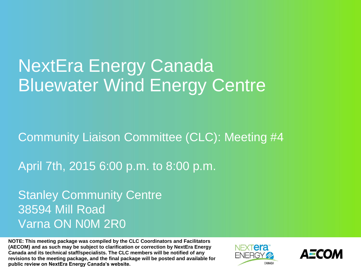# NextEra Energy Canada Bluewater Wind Energy Centre

Community Liaison Committee (CLC): Meeting #4

April 7th, 2015 6:00 p.m. to 8:00 p.m.

Stanley Community Centre 38594 Mill Road Varna ON N0M 2R0

**NOTE: This meeting package was compiled by the CLC Coordinators and Facilitators (AECOM) and as such may be subject to clarification or correction by NextEra Energy Canada and its technical staff/specialists. The CLC members will be notified of any revisions to the meeting package, and the final package will be posted and available for public review on NextEra Energy Canada's website.**



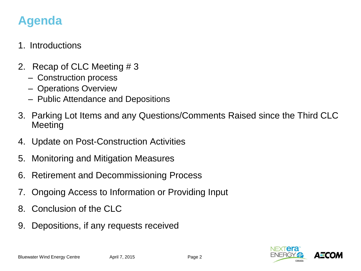# **Agenda**

### 1. Introductions

- 2. Recap of CLC Meeting # 3
	- Construction process
	- Operations Overview
	- Public Attendance and Depositions
- 3. Parking Lot Items and any Questions/Comments Raised since the Third CLC Meeting
- 4. Update on Post-Construction Activities
- 5. Monitoring and Mitigation Measures
- 6. Retirement and Decommissioning Process
- 7. Ongoing Access to Information or Providing Input
- 8. Conclusion of the CLC
- 9. Depositions, if any requests received

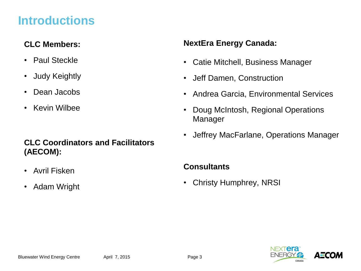## **Introductions**

### **CLC Members:**

- Paul Steckle
- Judy Keightly
- Dean Jacobs
- Kevin Wilbee

### **CLC Coordinators and Facilitators (AECOM):**

- Avril Fisken
- Adam Wright

### **NextEra Energy Canada:**

- Catie Mitchell, Business Manager
- Jeff Damen, Construction
- Andrea Garcia, Environmental Services
- Doug McIntosh, Regional Operations Manager
- Jeffrey MacFarlane, Operations Manager

### **Consultants**

• Christy Humphrey, NRSI

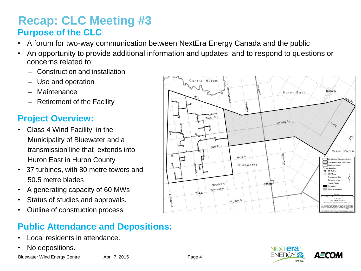### **Recap: CLC Meeting #3 Purpose of the CLC**:

- A forum for two-way communication between NextEra Energy Canada and the public
- An opportunity to provide additional information and updates, and to respond to questions or concerns related to:
	- Construction and installation
	- Use and operation
	- Maintenance
	- Retirement of the Facility

### **Project Overview:**

- Class 4 Wind Facility, in the Municipality of Bluewater and a transmission line that extends into Huron East in Huron County
- 37 turbines, with 80 metre towers and 50.5 metre blades
- A generating capacity of 60 MWs
- Status of studies and approvals.
- Outline of construction process

### **Public Attendance and Depositions:**

- Local residents in attendance.
- No depositions.



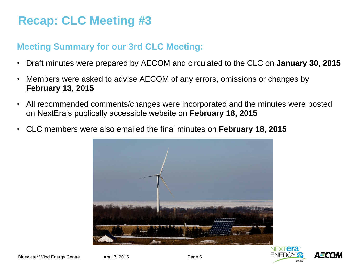# **Recap: CLC Meeting #3**

### **Meeting Summary for our 3rd CLC Meeting:**

- Draft minutes were prepared by AECOM and circulated to the CLC on **January 30, 2015**
- Members were asked to advise AECOM of any errors, omissions or changes by **February 13, 2015**
- All recommended comments/changes were incorporated and the minutes were posted on NextEra's publically accessible website on **February 18, 2015**
- CLC members were also emailed the final minutes on **February 18, 2015**



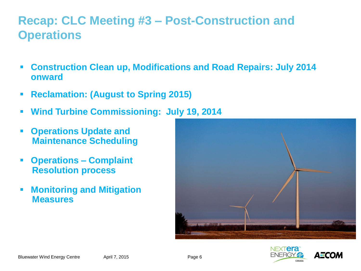# **Recap: CLC Meeting #3 – Post-Construction and Operations**

- **Construction Clean up, Modifications and Road Repairs: July 2014 onward**
- **Reclamation: (August to Spring 2015)**
- **Wind Turbine Commissioning: July 19, 2014**
- **Operations Update and Maintenance Scheduling**
- **Operations – Complaint Resolution process**
- **Monitoring and Mitigation Measures**



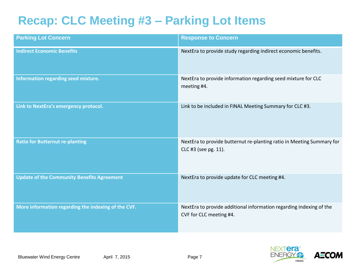# **Recap: CLC Meeting #3 – Parking Lot Items**

| <b>Parking Lot Concern</b>                          | <b>Response to Concern</b>                                                                     |
|-----------------------------------------------------|------------------------------------------------------------------------------------------------|
| <b>Indirect Economic Benefits</b>                   | NextEra to provide study regarding indirect economic benefits.                                 |
| Information regarding seed mixture.                 | NextEra to provide information regarding seed mixture for CLC<br>meeting #4.                   |
| Link to NextEra's emergency protocol.               | Link to be included in FINAL Meeting Summary for CLC #3.                                       |
| <b>Ratio for Butternut re-planting</b>              | NextEra to provide butternut re-planting ratio in Meeting Summary for<br>CLC #3 (see pg. 11).  |
| <b>Update of the Community Benefits Agreement</b>   | NextEra to provide update for CLC meeting #4.                                                  |
| More information regarding the indexing of the CVF. | NextEra to provide additional information regarding indexing of the<br>CVF for CLC meeting #4. |

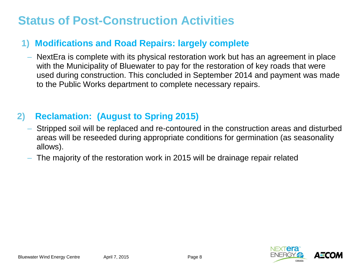# **Status of Post-Construction Activities**

### **1) Modifications and Road Repairs: largely complete**

– NextEra is complete with its physical restoration work but has an agreement in place with the Municipality of Bluewater to pay for the restoration of key roads that were used during construction. This concluded in September 2014 and payment was made to the Public Works department to complete necessary repairs.

### **2) Reclamation: (August to Spring 2015)**

- Stripped soil will be replaced and re-contoured in the construction areas and disturbed areas will be reseeded during appropriate conditions for germination (as seasonality allows).
- The majority of the restoration work in 2015 will be drainage repair related

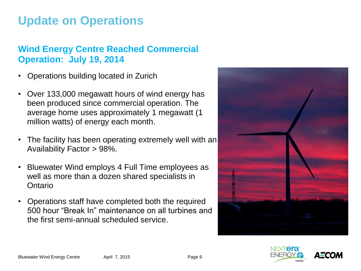# **Update on Operations**

### **Wind Energy Centre Reached Commercial Operation: July 19, 2014**

- Operations building located in Zurich
- Over 133,000 megawatt hours of wind energy has been produced since commercial operation. The average home uses approximately 1 megawatt (1 million watts) of energy each month.
- The facility has been operating extremely well with an Availability Factor > 98%.
- Bluewater Wind employs 4 Full Time employees as well as more than a dozen shared specialists in **Ontario**
- Operations staff have completed both the required 500 hour "Break In" maintenance on all turbines and the first semi-annual scheduled service.



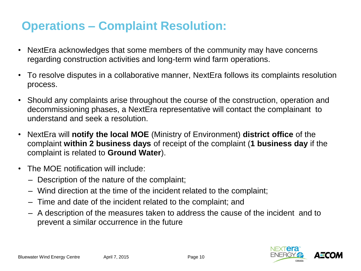# **Operations – Complaint Resolution:**

- NextEra acknowledges that some members of the community may have concerns regarding construction activities and long-term wind farm operations.
- To resolve disputes in a collaborative manner, NextEra follows its complaints resolution process.
- Should any complaints arise throughout the course of the construction, operation and decommissioning phases, a NextEra representative will contact the complainant to understand and seek a resolution.
- NextEra will **notify the local MOE** (Ministry of Environment) **district office** of the complaint **within 2 business days** of receipt of the complaint (**1 business day** if the complaint is related to **Ground Water**).
- The MOE notification will include:
	- Description of the nature of the complaint;
	- Wind direction at the time of the incident related to the complaint;
	- Time and date of the incident related to the complaint; and
	- A description of the measures taken to address the cause of the incident and to prevent a similar occurrence in the future

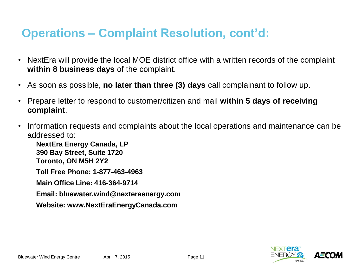# **Operations – Complaint Resolution, cont'd:**

- NextEra will provide the local MOE district office with a written records of the complaint **within 8 business days** of the complaint.
- As soon as possible, **no later than three (3) days** call complainant to follow up.
- Prepare letter to respond to customer/citizen and mail **within 5 days of receiving complaint**.
- Information requests and complaints about the local operations and maintenance can be addressed to:

**NextEra Energy Canada, LP 390 Bay Street, Suite 1720 Toronto, ON M5H 2Y2**

**Toll Free Phone: 1-877-463-4963**

**Main Office Line: 416-364-9714**

**Email: bluewater.wind@nexteraenergy.com**

**Website: www.NextEraEnergyCanada.com**

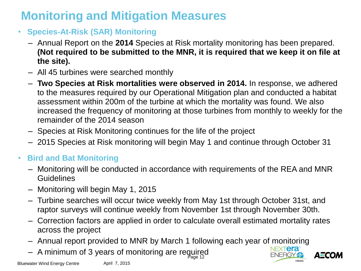# **Monitoring and Mitigation Measures**

- **Species-At-Risk (SAR) Monitoring**
	- Annual Report on the **2014** Species at Risk mortality monitoring has been prepared. **(Not required to be submitted to the MNR, it is required that we keep it on file at the site).**
	- All 45 turbines were searched monthly
	- **Two Species at Risk mortalities were observed in 2014.** In response, we adhered to the measures required by our Operational Mitigation plan and conducted a habitat assessment within 200m of the turbine at which the mortality was found. We also increased the frequency of monitoring at those turbines from monthly to weekly for the remainder of the 2014 season
	- Species at Risk Monitoring continues for the life of the project
	- 2015 Species at Risk monitoring will begin May 1 and continue through October 31

### • **Bird and Bat Monitoring**

- Monitoring will be conducted in accordance with requirements of the REA and MNR **Guidelines**
- Monitoring will begin May 1, 2015
- Turbine searches will occur twice weekly from May 1st through October 31st, and raptor surveys will continue weekly from November 1st through November 30th.
- Correction factors are applied in order to calculate overall estimated mortality rates across the project
- Annual report provided to MNR by March 1 following each year of monitoring
- $-$  A minimum of 3 years of monitoring are required

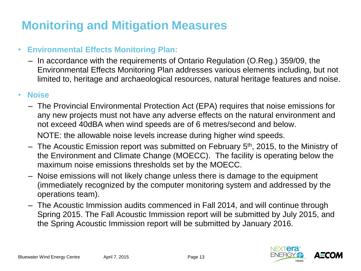# **Monitoring and Mitigation Measures**

### • **Environmental Effects Monitoring Plan:**

– In accordance with the requirements of Ontario Regulation (O.Reg.) 359/09, the Environmental Effects Monitoring Plan addresses various elements including, but not limited to, heritage and archaeological resources, natural heritage features and noise.

### • **Noise**

– The Provincial Environmental Protection Act (EPA) requires that noise emissions for any new projects must not have any adverse effects on the natural environment and not exceed 40dBA when wind speeds are of 6 metres/second and below.

NOTE: the allowable noise levels increase during higher wind speeds.

- $-$  The Acoustic Emission report was submitted on February 5<sup>th</sup>, 2015, to the Ministry of the Environment and Climate Change (MOECC). The facility is operating below the maximum noise emissions thresholds set by the MOECC.
- Noise emissions will not likely change unless there is damage to the equipment (immediately recognized by the computer monitoring system and addressed by the operations team).
- The Acoustic Immission audits commenced in Fall 2014, and will continue through Spring 2015. The Fall Acoustic Immission report will be submitted by July 2015, and the Spring Acoustic Immission report will be submitted by January 2016.

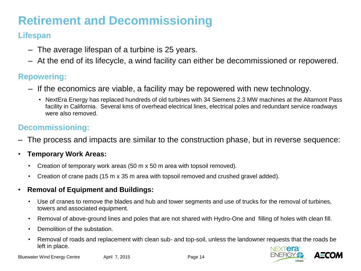# **Retirement and Decommissioning**

### **Lifespan**

- ‒ The average lifespan of a turbine is 25 years.
- ‒ At the end of its lifecycle, a wind facility can either be decommissioned or repowered.

#### **Repowering:**

- ‒ If the economics are viable, a facility may be repowered with new technology.
	- NextEra Energy has replaced hundreds of old turbines with 34 Siemens 2.3 MW machines at the Altamont Pass facility in California. Several kms of overhead electrical lines, electrical poles and redundant service roadways were also removed.

#### **Decommissioning:**

- ‒ The process and impacts are similar to the construction phase, but in reverse sequence:
- **Temporary Work Areas:**
	- Creation of temporary work areas (50 m x 50 m area with topsoil removed).
	- Creation of crane pads (15 m x 35 m area with topsoil removed and crushed gravel added).
- **Removal of Equipment and Buildings:**
	- Use of cranes to remove the blades and hub and tower segments and use of trucks for the removal of turbines, towers and associated equipment.
	- Removal of above-ground lines and poles that are not shared with Hydro-One and filling of holes with clean fill.
	- Demolition of the substation.
	- Removal of roads and replacement with clean sub- and top-soil, unless the landowner requests that the roads be left in place.

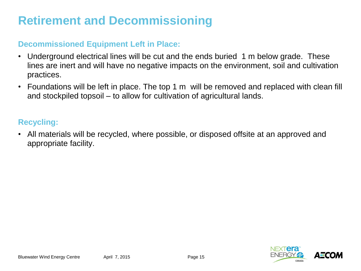# **Retirement and Decommissioning**

#### **Decommissioned Equipment Left in Place:**

- Underground electrical lines will be cut and the ends buried 1 m below grade. These lines are inert and will have no negative impacts on the environment, soil and cultivation practices.
- Foundations will be left in place. The top 1 m will be removed and replaced with clean fill and stockpiled topsoil – to allow for cultivation of agricultural lands.

#### **Recycling:**

• All materials will be recycled, where possible, or disposed offsite at an approved and appropriate facility.

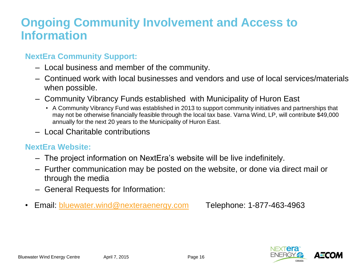## **Ongoing Community Involvement and Access to Information**

### **NextEra Community Support:**

- ‒ Local business and member of the community.
- ‒ Continued work with local businesses and vendors and use of local services/materials when possible.
- ‒ Community Vibrancy Funds established with Municipality of Huron East
	- A Community Vibrancy Fund was established in 2013 to support community initiatives and partnerships that may not be otherwise financially feasible through the local tax base. Varna Wind, LP, will contribute \$49,000 annually for the next 20 years to the Municipality of Huron East.
- ‒ Local Charitable contributions

#### **NextEra Website:**

- ‒ The project information on NextEra's website will be live indefinitely.
- ‒ Further communication may be posted on the website, or done via direct mail or through the media
- ‒ General Requests for Information:
- Email: **bluewater.wind@nexteraenergy.com** Telephone: 1-877-463-4963

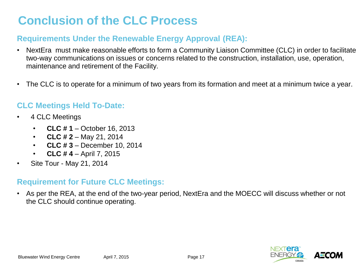# **Conclusion of the CLC Process**

### **Requirements Under the Renewable Energy Approval (REA):**

- NextEra must make reasonable efforts to form a Community Liaison Committee (CLC) in order to facilitate two-way communications on issues or concerns related to the construction, installation, use, operation, maintenance and retirement of the Facility.
- The CLC is to operate for a minimum of two years from its formation and meet at a minimum twice a year.

#### **CLC Meetings Held To-Date:**

- 4 CLC Meetings
	- **CLC # 1**  October 16, 2013
	- **CLC # 2** May 21, 2014
	- **CLC # 3**  December 10, 2014
	- **CLC # 4**  April 7, 2015
- Site Tour May 21, 2014

#### **Requirement for Future CLC Meetings:**

• As per the REA, at the end of the two-year period, NextEra and the MOECC will discuss whether or not the CLC should continue operating.

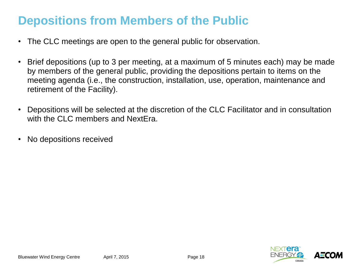# **Depositions from Members of the Public**

- The CLC meetings are open to the general public for observation.
- Brief depositions (up to 3 per meeting, at a maximum of 5 minutes each) may be made by members of the general public, providing the depositions pertain to items on the meeting agenda (i.e., the construction, installation, use, operation, maintenance and retirement of the Facility).
- Depositions will be selected at the discretion of the CLC Facilitator and in consultation with the CLC members and NextEra.
- No depositions received